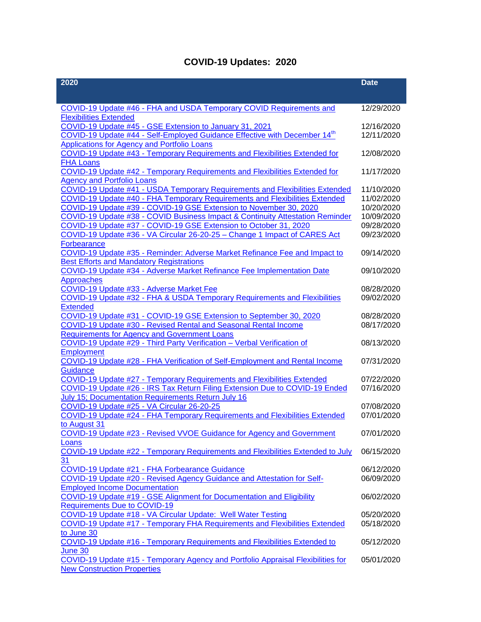## **COVID-19 Updates: 2020**

| 2020                                                                                                                      | <b>Date</b>              |
|---------------------------------------------------------------------------------------------------------------------------|--------------------------|
|                                                                                                                           |                          |
| COVID-19 Update #46 - FHA and USDA Temporary COVID Requirements and                                                       | 12/29/2020               |
| <b>Flexibilities Extended</b>                                                                                             |                          |
| COVID-19 Update #45 - GSE Extension to January 31, 2021                                                                   | 12/16/2020               |
| COVID-19 Update #44 - Self-Employed Guidance Effective with December 14 <sup>th</sup>                                     | 12/11/2020               |
| <b>Applications for Agency and Portfolio Loans</b>                                                                        |                          |
| COVID-19 Update #43 - Temporary Requirements and Flexibilities Extended for                                               | 12/08/2020               |
| <b>FHA Loans</b>                                                                                                          |                          |
| COVID-19 Update #42 - Temporary Requirements and Flexibilities Extended for                                               | 11/17/2020               |
| <b>Agency and Portfolio Loans</b>                                                                                         |                          |
| COVID-19 Update #41 - USDA Temporary Requirements and Flexibilities Extended                                              | 11/10/2020               |
| <b>COVID-19 Update #40 - FHA Temporary Requirements and Flexibilities Extended</b>                                        | 11/02/2020               |
| COVID-19 Update #39 - COVID-19 GSE Extension to November 30, 2020                                                         | 10/20/2020               |
| COVID-19 Update #38 - COVID Business Impact & Continuity Attestation Reminder                                             | 10/09/2020               |
| COVID-19 Update #37 - COVID-19 GSE Extension to October 31, 2020                                                          | 09/28/2020<br>09/23/2020 |
| COVID-19 Update #36 - VA Circular 26-20-25 - Change 1 Impact of CARES Act                                                 |                          |
| <b>Forbearance</b>                                                                                                        |                          |
| COVID-19 Update #35 - Reminder: Adverse Market Refinance Fee and Impact to                                                | 09/14/2020               |
| <b>Best Efforts and Mandatory Registrations</b><br>COVID-19 Update #34 - Adverse Market Refinance Fee Implementation Date | 09/10/2020               |
| Approaches                                                                                                                |                          |
| COVID-19 Update #33 - Adverse Market Fee                                                                                  | 08/28/2020               |
| COVID-19 Update #32 - FHA & USDA Temporary Requirements and Flexibilities                                                 | 09/02/2020               |
| <b>Extended</b>                                                                                                           |                          |
| COVID-19 Update #31 - COVID-19 GSE Extension to September 30, 2020                                                        | 08/28/2020               |
| COVID-19 Update #30 - Revised Rental and Seasonal Rental Income                                                           | 08/17/2020               |
| <b>Requirements for Agency and Government Loans</b>                                                                       |                          |
| COVID-19 Update #29 - Third Party Verification - Verbal Verification of                                                   | 08/13/2020               |
| <b>Employment</b>                                                                                                         |                          |
| COVID-19 Update #28 - FHA Verification of Self-Employment and Rental Income                                               | 07/31/2020               |
| Guidance                                                                                                                  |                          |
| COVID-19 Update #27 - Temporary Requirements and Flexibilities Extended                                                   | 07/22/2020               |
| COVID-19 Update #26 - IRS Tax Return Filing Extension Due to COVID-19 Ended                                               | 07/16/2020               |
| July 15; Documentation Requirements Return July 16                                                                        |                          |
| COVID-19 Update #25 - VA Circular 26-20-25                                                                                | 07/08/2020               |
| COVID-19 Update #24 - FHA Temporary Requirements and Flexibilities Extended                                               | 07/01/2020               |
| to August 31                                                                                                              |                          |
| COVID-19 Update #23 - Revised VVOE Guidance for Agency and Government                                                     | 07/01/2020               |
| Loans<br>COVID-19 Update #22 - Temporary Requirements and Flexibilities Extended to July                                  | 06/15/2020               |
| 31                                                                                                                        |                          |
| COVID-19 Update #21 - FHA Forbearance Guidance                                                                            | 06/12/2020               |
| COVID-19 Update #20 - Revised Agency Guidance and Attestation for Self-                                                   | 06/09/2020               |
| <b>Employed Income Documentation</b>                                                                                      |                          |
| COVID-19 Update #19 - GSE Alignment for Documentation and Eligibility                                                     | 06/02/2020               |
| <b>Requirements Due to COVID-19</b>                                                                                       |                          |
| COVID-19 Update #18 - VA Circular Update: Well Water Testing                                                              | 05/20/2020               |
| COVID-19 Update #17 - Temporary FHA Requirements and Flexibilities Extended                                               | 05/18/2020               |
| to June 30                                                                                                                |                          |
| COVID-19 Update #16 - Temporary Requirements and Flexibilities Extended to                                                | 05/12/2020               |
| June 30                                                                                                                   |                          |
| COVID-19 Update #15 - Temporary Agency and Portfolio Appraisal Flexibilities for                                          | 05/01/2020               |
| <b>New Construction Properties</b>                                                                                        |                          |